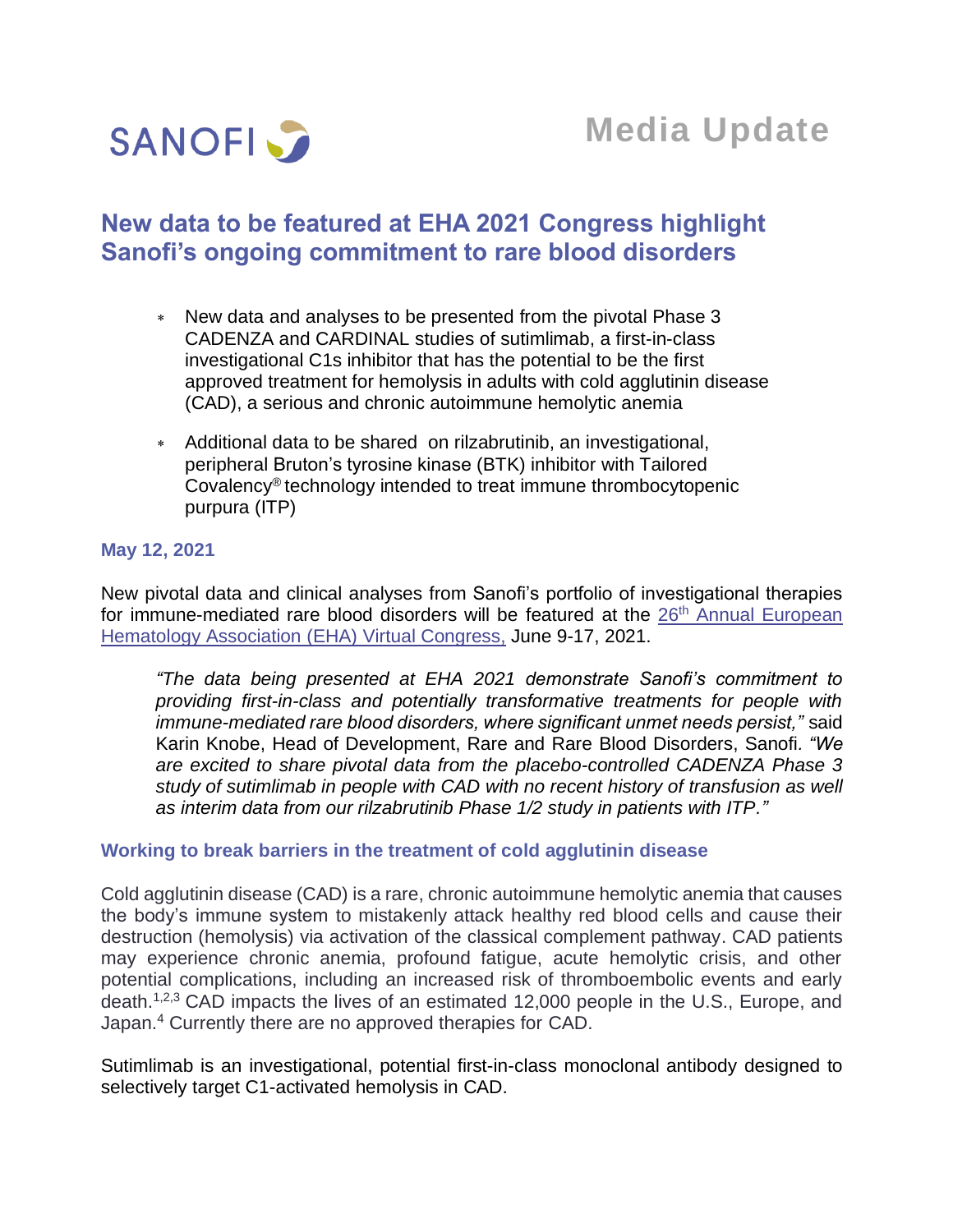

# **New data to be featured at EHA 2021 Congress highlight Sanofi's ongoing commitment to rare blood disorders**

- New data and analyses to be presented from the pivotal Phase 3 CADENZA and CARDINAL studies of sutimlimab, a first-in-class investigational C1s inhibitor that has the potential to be the first approved treatment for hemolysis in adults with cold agglutinin disease (CAD), a serious and chronic autoimmune hemolytic anemia
- Additional data to be shared on rilzabrutinib, an investigational, peripheral Bruton's tyrosine kinase (BTK) inhibitor with Tailored Covalency® technology intended to treat immune thrombocytopenic purpura (ITP)

#### **May 12, 2021**

New pivotal data and clinical analyses from Sanofi's portfolio of investigational therapies for immune-mediated rare blood disorders will be featured at the  $26<sup>th</sup>$  Annual European [Hematology Association \(EHA\) Virtual](https://ehaweb.org/congress/eha-congress-2021/key-information/) Congress, June 9-17, 2021.

*"The data being presented at EHA 2021 demonstrate Sanofi's commitment to providing first-in-class and potentially transformative treatments for people with immune-mediated rare blood disorders, where significant unmet needs persist,"* said Karin Knobe, Head of Development, Rare and Rare Blood Disorders, Sanofi*. "We are excited to share pivotal data from the placebo-controlled CADENZA Phase 3 study of sutimlimab in people with CAD with no recent history of transfusion as well as interim data from our rilzabrutinib Phase 1/2 study in patients with ITP."* 

### **Working to break barriers in the treatment of cold agglutinin disease**

Cold agglutinin disease (CAD) is a rare, chronic autoimmune hemolytic anemia that causes the body's immune system to mistakenly attack healthy red blood cells and cause their destruction (hemolysis) via activation of the classical complement pathway. CAD patients may experience chronic anemia, profound fatigue, acute hemolytic crisis, and other potential complications, including an increased risk of thromboembolic events and early death.<sup>1,2,3</sup> CAD impacts the lives of an estimated 12,000 people in the U.S., Europe, and Japan.<sup>4</sup> Currently there are no approved therapies for CAD.

Sutimlimab is an investigational, potential first-in-class monoclonal antibody designed to selectively target C1-activated hemolysis in CAD.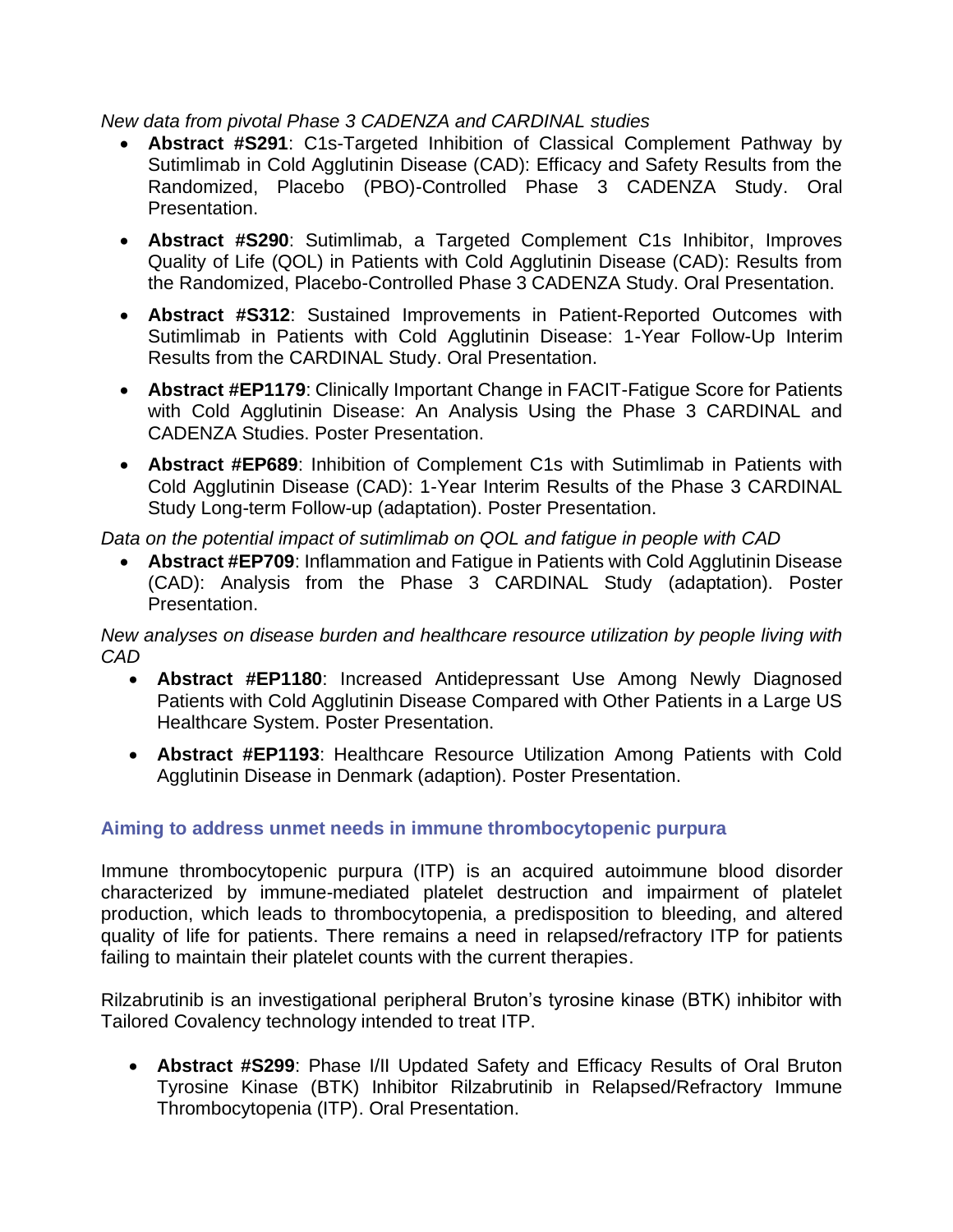*New data from pivotal Phase 3 CADENZA and CARDINAL studies*

- **Abstract #S291**: C1s-Targeted Inhibition of Classical Complement Pathway by Sutimlimab in Cold Agglutinin Disease (CAD): Efficacy and Safety Results from the Randomized, Placebo (PBO)-Controlled Phase 3 CADENZA Study. Oral Presentation.
- **Abstract #S290**: Sutimlimab, a Targeted Complement C1s Inhibitor, Improves Quality of Life (QOL) in Patients with Cold Agglutinin Disease (CAD): Results from the Randomized, Placebo-Controlled Phase 3 CADENZA Study. Oral Presentation.
- **Abstract #S312**: Sustained Improvements in Patient-Reported Outcomes with Sutimlimab in Patients with Cold Agglutinin Disease: 1-Year Follow-Up Interim Results from the CARDINAL Study. Oral Presentation.
- **Abstract #EP1179**: Clinically Important Change in FACIT-Fatigue Score for Patients with Cold Agglutinin Disease: An Analysis Using the Phase 3 CARDINAL and CADENZA Studies. Poster Presentation.
- **Abstract #EP689**: Inhibition of Complement C1s with Sutimlimab in Patients with Cold Agglutinin Disease (CAD): 1-Year Interim Results of the Phase 3 CARDINAL Study Long-term Follow-up (adaptation). Poster Presentation.

*Data on the potential impact of sutimlimab on QOL and fatigue in people with CAD* 

• **Abstract #EP709**: Inflammation and Fatigue in Patients with Cold Agglutinin Disease (CAD): Analysis from the Phase 3 CARDINAL Study (adaptation). Poster Presentation.

*New analyses on disease burden and healthcare resource utilization by people living with CAD* 

- **Abstract #EP1180**: Increased Antidepressant Use Among Newly Diagnosed Patients with Cold Agglutinin Disease Compared with Other Patients in a Large US Healthcare System. Poster Presentation.
- **Abstract #EP1193**: Healthcare Resource Utilization Among Patients with Cold Agglutinin Disease in Denmark (adaption). Poster Presentation.

# **Aiming to address unmet needs in immune thrombocytopenic purpura**

Immune thrombocytopenic purpura (ITP) is an acquired autoimmune blood disorder characterized by immune-mediated platelet destruction and impairment of platelet production, which leads to thrombocytopenia, a predisposition to bleeding, and altered quality of life for patients. There remains a need in relapsed/refractory ITP for patients failing to maintain their platelet counts with the current therapies.

Rilzabrutinib is an investigational peripheral Bruton's tyrosine kinase (BTK) inhibitor with Tailored Covalency technology intended to treat ITP.

• **Abstract #S299**: Phase I/II Updated Safety and Efficacy Results of Oral Bruton Tyrosine Kinase (BTK) Inhibitor Rilzabrutinib in Relapsed/Refractory Immune Thrombocytopenia (ITP). Oral Presentation.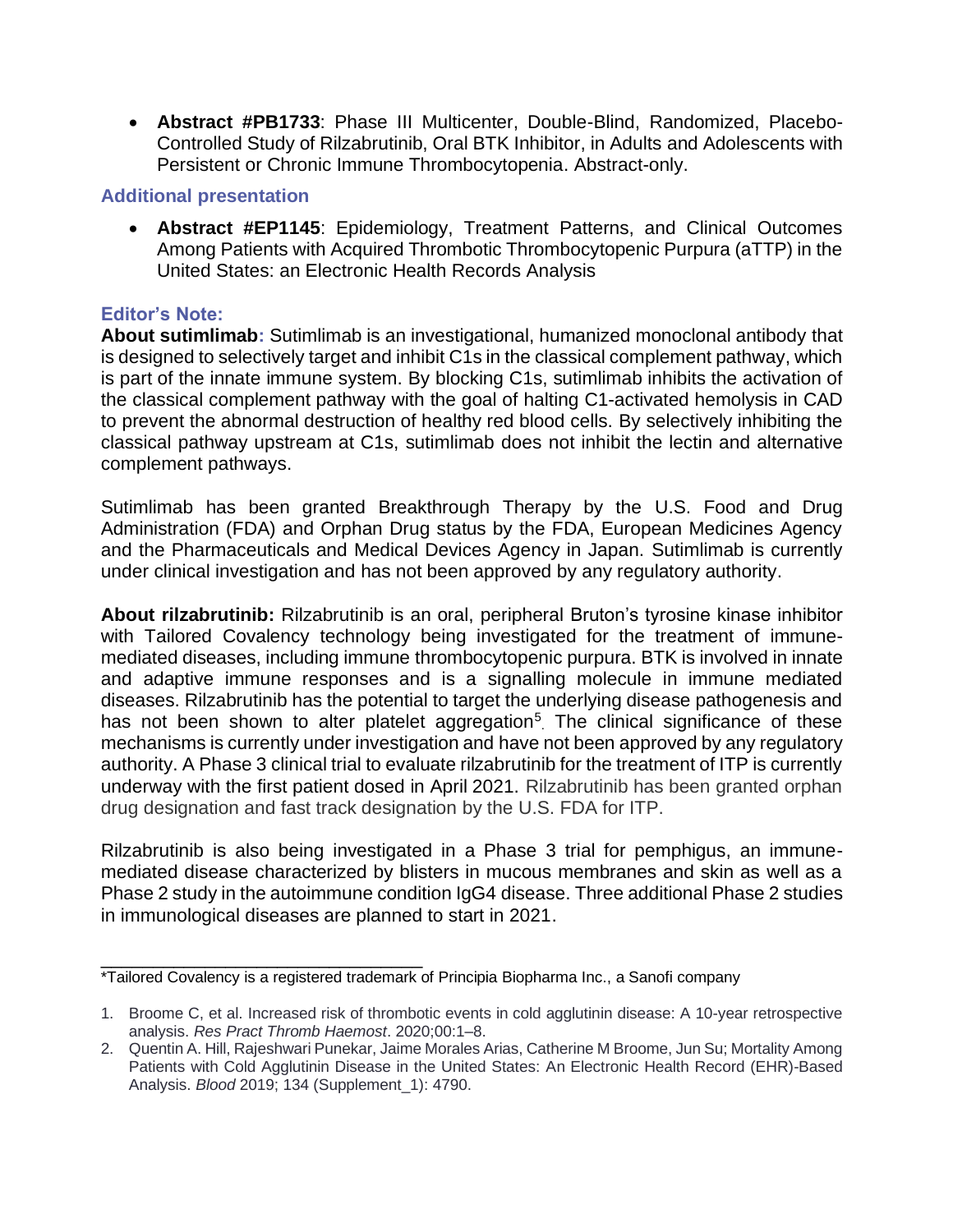• **Abstract #PB1733**: Phase III Multicenter, Double-Blind, Randomized, Placebo-Controlled Study of Rilzabrutinib, Oral BTK Inhibitor, in Adults and Adolescents with Persistent or Chronic Immune Thrombocytopenia. Abstract-only.

## **Additional presentation**

• **Abstract #EP1145**: Epidemiology, Treatment Patterns, and Clinical Outcomes Among Patients with Acquired Thrombotic Thrombocytopenic Purpura (aTTP) in the United States: an Electronic Health Records Analysis

## **Editor's Note:**

**About sutimlimab:** Sutimlimab is an investigational, humanized monoclonal antibody that is designed to selectively target and inhibit C1s in the classical complement pathway, which is part of the innate immune system. By blocking C1s, sutimlimab inhibits the activation of the classical complement pathway with the goal of halting C1-activated hemolysis in CAD to prevent the abnormal destruction of healthy red blood cells. By selectively inhibiting the classical pathway upstream at C1s, sutimlimab does not inhibit the lectin and alternative complement pathways.

Sutimlimab has been granted Breakthrough Therapy by the U.S. Food and Drug Administration (FDA) and Orphan Drug status by the FDA, European Medicines Agency and the Pharmaceuticals and Medical Devices Agency in Japan. Sutimlimab is currently under clinical investigation and has not been approved by any regulatory authority.

**About rilzabrutinib:** Rilzabrutinib is an oral, peripheral Bruton's tyrosine kinase inhibitor with Tailored Covalency technology being investigated for the treatment of immunemediated diseases, including immune thrombocytopenic purpura. BTK is involved in innate and adaptive immune responses and is a signalling molecule in immune mediated diseases. Rilzabrutinib has the potential to target the underlying disease pathogenesis and has not been shown to alter platelet aggregation<sup>5</sup>. The clinical significance of these mechanisms is currently under investigation and have not been approved by any regulatory authority. A Phase 3 clinical trial to evaluate rilzabrutinib for the treatment of ITP is currently underway with the first patient dosed in April 2021. Rilzabrutinib has been granted orphan drug designation and fast track designation by the U.S. FDA for ITP.

Rilzabrutinib is also being investigated in a Phase 3 trial for pemphigus, an immunemediated disease characterized by blisters in mucous membranes and skin as well as a Phase 2 study in the autoimmune condition IgG4 disease. Three additional Phase 2 studies in immunological diseases are planned to start in 2021.

\_\_\_\_\_\_\_\_\_\_\_\_\_\_\_\_\_\_\_\_\_\_\_\_\_\_\_\_\_\_\_ \*Tailored Covalency is a registered trademark of Principia Biopharma Inc., a Sanofi company

<sup>1.</sup> Broome C, et al. Increased risk of thrombotic events in cold agglutinin disease: A 10-year retrospective analysis. *Res Pract Thromb Haemost*. 2020;00:1–8.

<sup>2.</sup> Quentin A. Hill, Rajeshwari Punekar, Jaime Morales Arias, Catherine M Broome, Jun Su; Mortality Among Patients with Cold Agglutinin Disease in the United States: An Electronic Health Record (EHR)-Based Analysis. *Blood* 2019; 134 (Supplement\_1): 4790.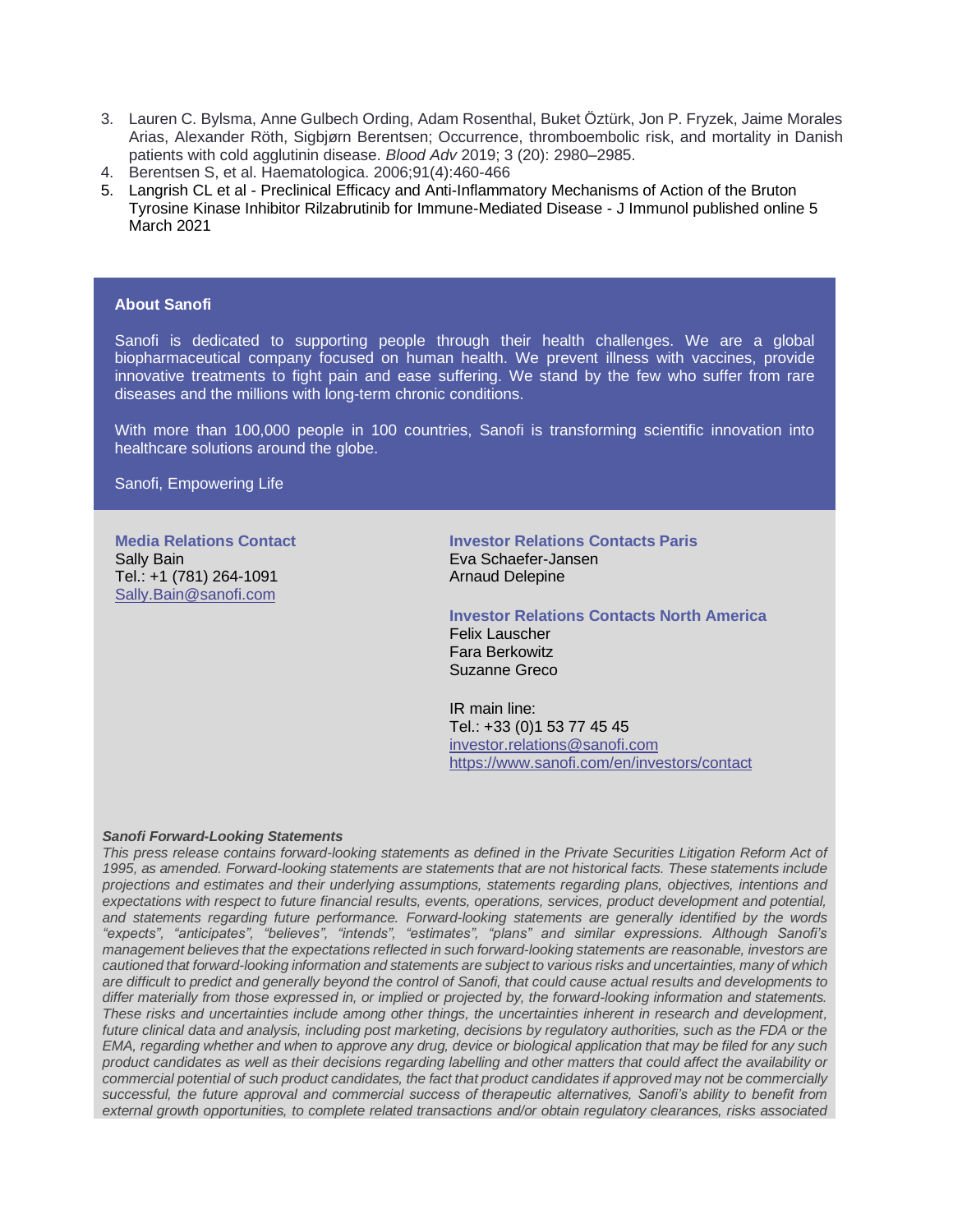- 3. Lauren C. Bylsma, Anne Gulbech Ording, Adam Rosenthal, Buket Öztürk, Jon P. Fryzek, Jaime Morales Arias, Alexander Röth, Sigbjørn Berentsen; Occurrence, thromboembolic risk, and mortality in Danish patients with cold agglutinin disease. *Blood Adv* 2019; 3 (20): 2980–2985.
- 4. Berentsen S, et al. Haematologica. 2006;91(4):460-466
- 5. Langrish CL et al Preclinical Efficacy and Anti-Inflammatory Mechanisms of Action of the Bruton Tyrosine Kinase Inhibitor Rilzabrutinib for Immune-Mediated Disease - J Immunol published online 5 March 2021

#### **About Sanofi**

Sanofi is dedicated to supporting people through their health challenges. We are a global biopharmaceutical company focused on human health. We prevent illness with vaccines, provide innovative treatments to fight pain and ease suffering. We stand by the few who suffer from rare diseases and the millions with long-term chronic conditions.

With more than 100,000 people in 100 countries, Sanofi is transforming scientific innovation into healthcare solutions around the globe.

Sanofi, Empowering Life

**Media Relations Contact** Sally Bain Tel.: +1 (781) 264-1091 [Sally.Bain@sanofi.com](mailto:Sally.Bain@sanofi.com)

**Investor Relations Contacts Paris** Eva Schaefer-Jansen Arnaud Delepine

**Investor Relations Contacts North America** Felix Lauscher Fara Berkowitz Suzanne Greco

IR main line: Tel.: +33 (0)1 53 77 45 45 [investor.relations@sanofi.com](mailto:investor.relations@sanofi.com) https://www.sanofi.com/en/investors/contact

#### *Sanofi Forward-Looking Statements*

This press release contains forward-looking statements as defined in the Private Securities Litigation Reform Act of *1995, as amended. Forward-looking statements are statements that are not historical facts. These statements include projections and estimates and their underlying assumptions, statements regarding plans, objectives, intentions and expectations with respect to future financial results, events, operations, services, product development and potential, and statements regarding future performance. Forward-looking statements are generally identified by the words "expects", "anticipates", "believes", "intends", "estimates", "plans" and similar expressions. Although Sanofi's management believes that the expectations reflected in such forward-looking statements are reasonable, investors are cautioned that forward-looking information and statements are subject to various risks and uncertainties, many of which are difficult to predict and generally beyond the control of Sanofi, that could cause actual results and developments to differ materially from those expressed in, or implied or projected by, the forward-looking information and statements. These risks and uncertainties include among other things, the uncertainties inherent in research and development,*  future clinical data and analysis, including post marketing, decisions by regulatory authorities, such as the FDA or the *EMA, regarding whether and when to approve any drug, device or biological application that may be filed for any such product candidates as well as their decisions regarding labelling and other matters that could affect the availability or commercial potential of such product candidates, the fact that product candidates if approved may not be commercially*  successful, the future approval and commercial success of therapeutic alternatives, Sanofi's ability to benefit from *external growth opportunities, to complete related transactions and/or obtain regulatory clearances, risks associated*